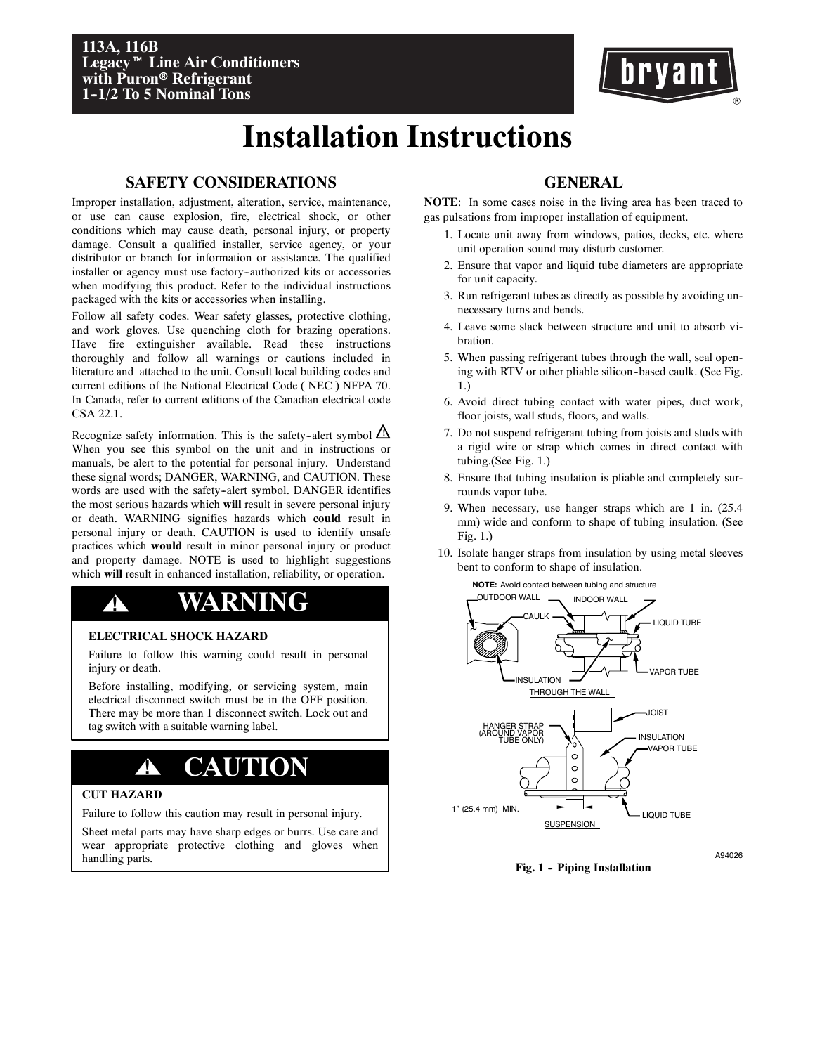

# **Installation Instructions**

# **SAFETY CONSIDERATIONS**

Improper installation, adjustment, alteration, service, maintenance, or use can cause explosion, fire, electrical shock, or other conditions which may cause death, personal injury, or property damage. Consult a qualified installer, service agency, or your distributor or branch for information or assistance. The qualified installer or agency must use factory--authorized kits or accessories when modifying this product. Refer to the individual instructions packaged with the kits or accessories when installing.

Follow all safety codes. Wear safety glasses, protective clothing, and work gloves. Use quenching cloth for brazing operations. Have fire extinguisher available. Read these instructions thoroughly and follow all warnings or cautions included in literature and attached to the unit. Consult local building codes and current editions of the National Electrical Code ( NEC ) NFPA 70. In Canada, refer to current editions of the Canadian electrical code CSA 22.1.

Recognize safety information. This is the safety-alert symbol  $\angle$ When you see this symbol on the unit and in instructions or manuals, be alert to the potential for personal injury. Understand these signal words; DANGER, WARNING, and CAUTION. These words are used with the safety-alert symbol. DANGER identifies the most serious hazards which **will** result in severe personal injury or death. WARNING signifies hazards which **could** result in personal injury or death. CAUTION is used to identify unsafe practices which **would** result in minor personal injury or product and property damage. NOTE is used to highlight suggestions which **will** result in enhanced installation, reliability, or operation.

# **! WARNING**

# **ELECTRICAL SHOCK HAZARD**

Failure to follow this warning could result in personal injury or death.

Before installing, modifying, or servicing system, main electrical disconnect switch must be in the OFF position. There may be more than 1 disconnect switch. Lock out and tag switch with a suitable warning label.

# **! CAUTION**

# **CUT HAZARD**

Failure to follow this caution may result in personal injury.

Sheet metal parts may have sharp edges or burrs. Use care and wear appropriate protective clothing and gloves when handling parts.

# **GENERAL**

**NOTE**: In some cases noise in the living area has been traced to gas pulsations from improper installation of equipment.

- 1. Locate unit away from windows, patios, decks, etc. where unit operation sound may disturb customer.
- 2. Ensure that vapor and liquid tube diameters are appropriate for unit capacity.
- 3. Run refrigerant tubes as directly as possible by avoiding unnecessary turns and bends.
- 4. Leave some slack between structure and unit to absorb vibration.
- 5. When passing refrigerant tubes through the wall, seal opening with RTV or other pliable silicon-based caulk. (See Fig. 1.)
- 6. Avoid direct tubing contact with water pipes, duct work, floor joists, wall studs, floors, and walls.
- 7. Do not suspend refrigerant tubing from joists and studs with a rigid wire or strap which comes in direct contact with tubing.(See Fig. 1.)
- 8. Ensure that tubing insulation is pliable and completely surrounds vapor tube.
- 9. When necessary, use hanger straps which are 1 in. (25.4 mm) wide and conform to shape of tubing insulation. (See Fig. 1.)
- 10. Isolate hanger straps from insulation by using metal sleeves bent to conform to shape of insulation.



**Fig. 1 - Piping Installation** 

A94026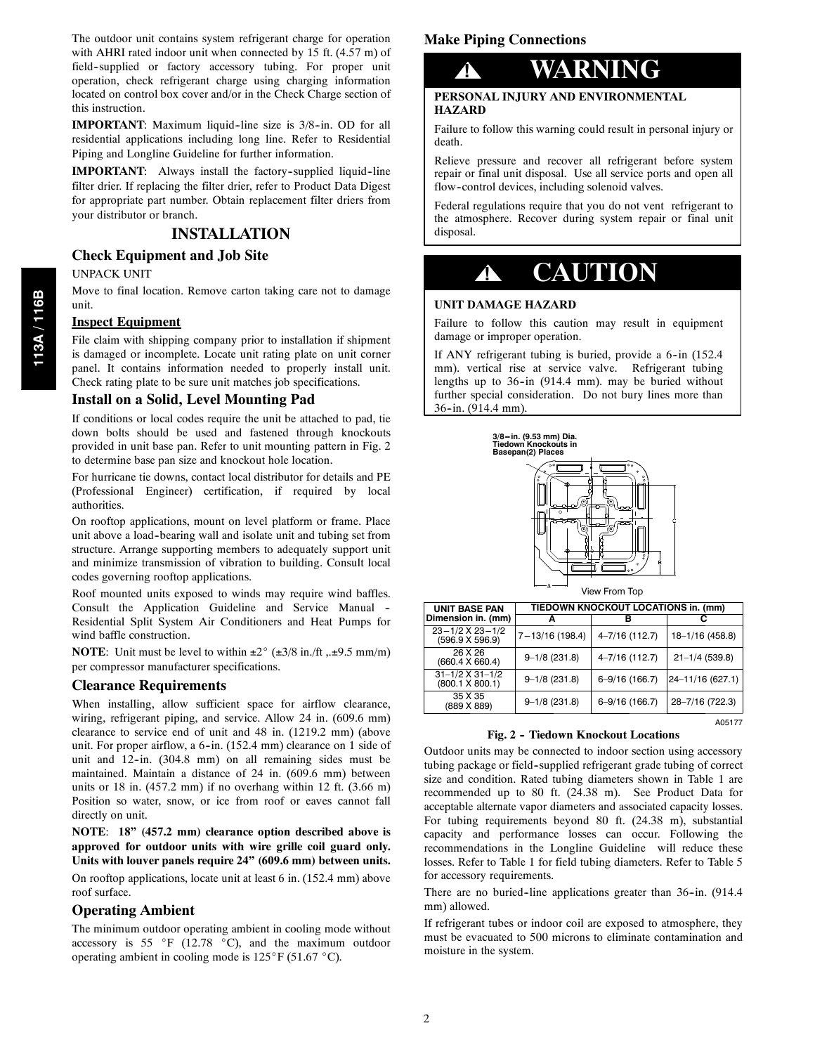The outdoor unit contains system refrigerant charge for operation with AHRI rated indoor unit when connected by 15 ft. (4.57 m) of field--supplied or factory accessory tubing. For proper unit operation, check refrigerant charge using charging information located on control box cover and/or in the Check Charge section of this instruction.

**IMPORTANT**: Maximum liquid-line size is 3/8-in. OD for all residential applications including long line. Refer to Residential Piping and Longline Guideline for further information.

**IMPORTANT:** Always install the factory-supplied liquid-line filter drier. If replacing the filter drier, refer to Product Data Digest for appropriate part number. Obtain replacement filter driers from your distributor or branch.

# **INSTALLATION**

### **Check Equipment and Job Site**

#### UNPACK UNIT

Move to final location. Remove carton taking care not to damage unit.

#### **Inspect Equipment**

File claim with shipping company prior to installation if shipment is damaged or incomplete. Locate unit rating plate on unit corner panel. It contains information needed to properly install unit. Check rating plate to be sure unit matches job specifications.

#### **Install on a Solid, Level Mounting Pad**

If conditions or local codes require the unit be attached to pad, tie down bolts should be used and fastened through knockouts provided in unit base pan. Refer to unit mounting pattern in Fig. 2 to determine base pan size and knockout hole location.

For hurricane tie downs, contact local distributor for details and PE (Professional Engineer) certification, if required by local authorities.

On rooftop applications, mount on level platform or frame. Place unit above a load-bearing wall and isolate unit and tubing set from structure. Arrange supporting members to adequately support unit and minimize transmission of vibration to building. Consult local codes governing rooftop applications.

Roof mounted units exposed to winds may require wind baffles. Consult the Application Guideline and Service Manual -- Residential Split System Air Conditioners and Heat Pumps for wind baffle construction.

**NOTE:** Unit must be level to within  $\pm 2^{\circ}$  ( $\pm 3/8$  in./ft ,. $\pm 9.5$  mm/m) per compressor manufacturer specifications.

#### **Clearance Requirements**

When installing, allow sufficient space for airflow clearance, wiring, refrigerant piping, and service. Allow 24 in. (609.6 mm) clearance to service end of unit and 48 in. (1219.2 mm) (above unit. For proper airflow, a 6-in. (152.4 mm) clearance on 1 side of unit and 12-in. (304.8 mm) on all remaining sides must be maintained. Maintain a distance of 24 in. (609.6 mm) between units or  $18$  in. (457.2 mm) if no overhang within  $12$  ft. (3.66 m) Position so water, snow, or ice from roof or eaves cannot fall directly on unit.

**NOTE**: **18" (457.2 mm) clearance option described above is approved for outdoor units with wire grille coil guard only. Units with louver panels require 24" (609.6 mm) between units.**

On rooftop applications, locate unit at least 6 in. (152.4 mm) above roof surface.

#### **Operating Ambient**

The minimum outdoor operating ambient in cooling mode without accessory is 55  $\degree$ F (12.78  $\degree$ C), and the maximum outdoor operating ambient in cooling mode is  $125^{\circ}$ F (51.67  $^{\circ}$ C).

### **Make Piping Connections**



### **PERSONAL INJURY AND ENVIRONMENTAL HAZARD**

Failure to follow this warning could result in personal injury or death.

Relieve pressure and recover all refrigerant before system repair or final unit disposal. Use all service ports and open all flow--control devices, including solenoid valves.

Federal regulations require that you do not vent refrigerant to the atmosphere. Recover during system repair or final unit disposal.

# **! CAUTION**

#### **UNIT DAMAGE HAZARD**

Failure to follow this caution may result in equipment damage or improper operation.

If ANY refrigerant tubing is buried, provide a 6-in (152.4) mm). vertical rise at service valve. Refrigerant tubing lengths up to  $36$ -in (914.4 mm). may be buried without further special consideration. Do not bury lines more than  $36$ -in. (914.4 mm).



View From Top

A05177

| UNIT BASE PAN                              | TIEDOWN KNOCKOUT LOCATIONS in. (mm) |                    |                    |  |  |  |  |  |
|--------------------------------------------|-------------------------------------|--------------------|--------------------|--|--|--|--|--|
| Dimension in. (mm)                         |                                     |                    |                    |  |  |  |  |  |
| $23 - 1/2$ X $23 - 1/2$<br>(596.9 X 596.9) | 7-13/16 (198.4)                     | $4 - 7/16$ (112.7) | 18-1/16 (458.8)    |  |  |  |  |  |
| 26 X 26<br>(660.4 X 660.4)                 | $9 - 1/8$ (231.8)                   | $4 - 7/16$ (112.7) | $21 - 1/4$ (539.8) |  |  |  |  |  |
| $31 - 1/2$ X $31 - 1/2$<br>(800.1 X 800.1) | $9 - 1/8$ (231.8)                   | $6 - 9/16$ (166.7) | 24-11/16 (627.1)   |  |  |  |  |  |
| 35 X 35<br>(889 X 889)                     | $9 - 1/8$ (231.8)                   | $6 - 9/16$ (166.7) | 28-7/16 (722.3)    |  |  |  |  |  |
|                                            |                                     |                    |                    |  |  |  |  |  |

#### **Fig. 2 -- Tiedown Knockout Locations**

Outdoor units may be connected to indoor section using accessory tubing package or field--supplied refrigerant grade tubing of correct size and condition. Rated tubing diameters shown in Table 1 are recommended up to 80 ft. (24.38 m). See Product Data for acceptable alternate vapor diameters and associated capacity losses. For tubing requirements beyond 80 ft. (24.38 m), substantial capacity and performance losses can occur. Following the recommendations in the Longline Guideline will reduce these losses. Refer to Table 1 for field tubing diameters. Refer to Table 5 for accessory requirements.

There are no buried-line applications greater than 36-in. (914.4 mm) allowed.

If refrigerant tubes or indoor coil are exposed to atmosphere, they must be evacuated to 500 microns to eliminate contamination and moisture in the system.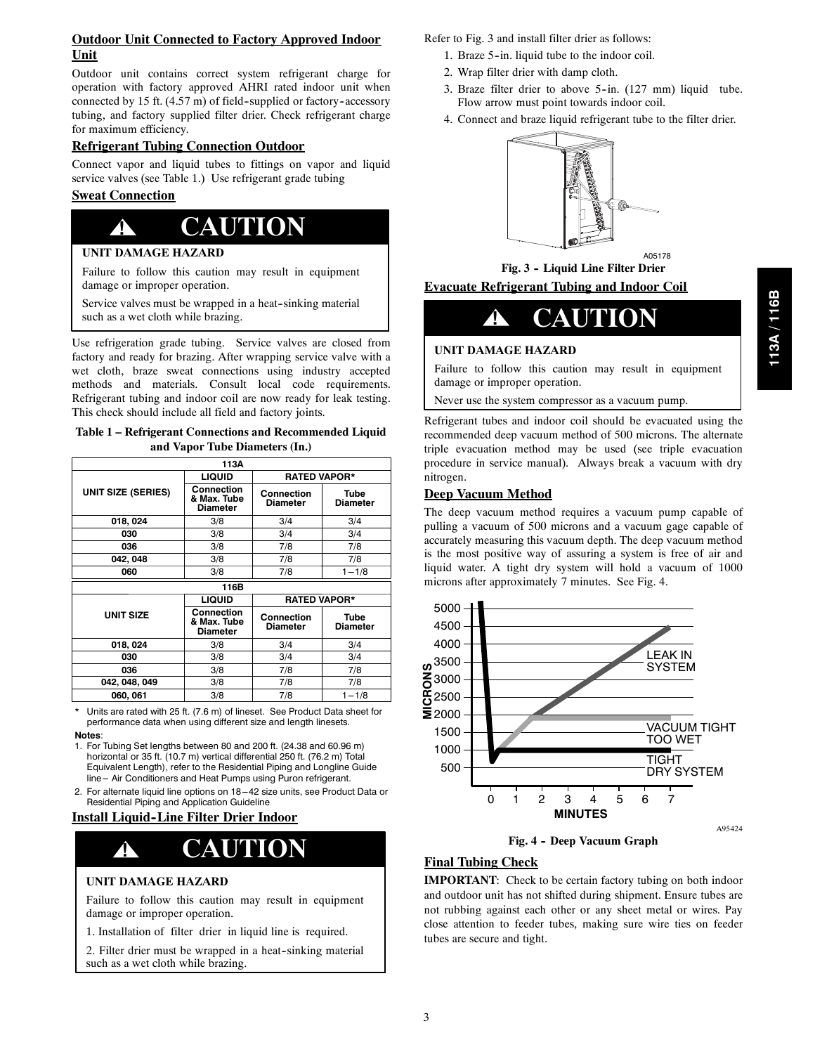# **Outdoor Unit Connected to Factory Approved Indoor Unit**

Outdoor unit contains correct system refrigerant charge for operation with factory approved AHRI rated indoor unit when connected by 15 ft.  $(4.57 \text{ m})$  of field-supplied or factory-accessory tubing, and factory supplied filter drier. Check refrigerant charge for maximum efficiency.

### **Refrigerant Tubing Connection Outdoor**

Connect vapor and liquid tubes to fittings on vapor and liquid service valves (see Table 1.) Use refrigerant grade tubing

# **Sweat Connection**

# **! CAUTION**

# **UNIT DAMAGE HAZARD**

Failure to follow this caution may result in equipment damage or improper operation.

Service valves must be wrapped in a heat-sinking material such as a wet cloth while brazing.

Use refrigeration grade tubing. Service valves are closed from factory and ready for brazing. After wrapping service valve with a wet cloth, braze sweat connections using industry accepted methods and materials. Consult local code requirements. Refrigerant tubing and indoor coil are now ready for leak testing. This check should include all field and factory joints.

**Table 1 – Refrigerant Connections and Recommended Liquid and Vapor Tube Diameters (In.)**

| 113A                      |                                              |                               |                         |  |  |  |
|---------------------------|----------------------------------------------|-------------------------------|-------------------------|--|--|--|
|                           | <b>LIQUID</b>                                | <b>RATED VAPOR*</b>           |                         |  |  |  |
| <b>UNIT SIZE (SERIES)</b> | Connection<br>& Max. Tube<br><b>Diameter</b> | Connection<br>Diameter        | Tube<br><b>Diameter</b> |  |  |  |
| 018, 024                  | 3/8                                          | 3/4                           | 3/4                     |  |  |  |
| 030                       | 3/8                                          | 3/4                           | 3/4                     |  |  |  |
| 036                       | 3/8                                          | 7/8                           | 7/8                     |  |  |  |
| 042, 048                  | 3/8                                          | 7/8                           | 7/8                     |  |  |  |
| 060                       | 3/8                                          | 7/8                           | $1 - 1/8$               |  |  |  |
|                           | 116B                                         |                               |                         |  |  |  |
|                           | <b>LIQUID</b>                                | <b>RATED VAPOR*</b>           |                         |  |  |  |
| <b>UNIT SIZE</b>          | Connection<br>& Max. Tube<br><b>Diameter</b> | Connection<br><b>Diameter</b> | Tube<br><b>Diameter</b> |  |  |  |
| 018, 024                  | 3/8                                          | 3/4                           | 3/4                     |  |  |  |
| 030                       | 3/8                                          | 3/4                           | 3/4                     |  |  |  |
| 036                       | 3/8                                          | 7/8                           | 7/8                     |  |  |  |
| 042, 048, 049             | 3/8                                          | 7/8                           | 7/8                     |  |  |  |
| 060, 061                  | 3/8                                          | 7/8                           | $1 - 1/8$               |  |  |  |

\* Units are rated with 25 ft. (7.6 m) of lineset. See Product Data sheet for performance data when using different size and length linesets.

#### **Notes**:

1. For Tubing Set lengths between 80 and 200 ft. (24.38 and 60.96 m) horizontal or 35 ft. (10.7 m) vertical differential 250 ft. (76.2 m) Total Equivalent Length), refer to the Residential Piping and Longline Guide line -- Air Conditioners and Heat Pumps using Puron refrigerant.

2. For alternate liquid line options on 18-42 size units, see Product Data or Residential Piping and Application Guideline

# **Install Liquid--Line Filter Drier Indoor**

# **! CAUTION**

#### **UNIT DAMAGE HAZARD**

Failure to follow this caution may result in equipment damage or improper operation.

1. Installation of filter drier in liquid line is required.

2. Filter drier must be wrapped in a heat-sinking material such as a wet cloth while brazing.

Refer to Fig. 3 and install filter drier as follows:

- 1. Braze 5--in. liquid tube to the indoor coil.
- 2. Wrap filter drier with damp cloth.
- 3. Braze filter drier to above 5-in. (127 mm) liquid tube. Flow arrow must point towards indoor coil.
- 4. Connect and braze liquid refrigerant tube to the filter drier.



A05178 **Fig. 3 -- Liquid Line Filter Drier**

# **Evacuate Refrigerant Tubing and Indoor Coil**



# **UNIT DAMAGE HAZARD**

Failure to follow this caution may result in equipment damage or improper operation.

Never use the system compressor as a vacuum pump.

Refrigerant tubes and indoor coil should be evacuated using the recommended deep vacuum method of 500 microns. The alternate triple evacuation method may be used (see triple evacuation procedure in service manual). Always break a vacuum with dry nitrogen.

# **Deep Vacuum Method**

The deep vacuum method requires a vacuum pump capable of pulling a vacuum of 500 microns and a vacuum gage capable of accurately measuring this vacuum depth. The deep vacuum method is the most positive way of assuring a system is free of air and liquid water. A tight dry system will hold a vacuum of 1000 microns after approximately 7 minutes. See Fig. 4.





# **Final Tubing Check**

**IMPORTANT:** Check to be certain factory tubing on both indoor and outdoor unit has not shifted during shipment. Ensure tubes are not rubbing against each other or any sheet metal or wires. Pay close attention to feeder tubes, making sure wire ties on feeder tubes are secure and tight.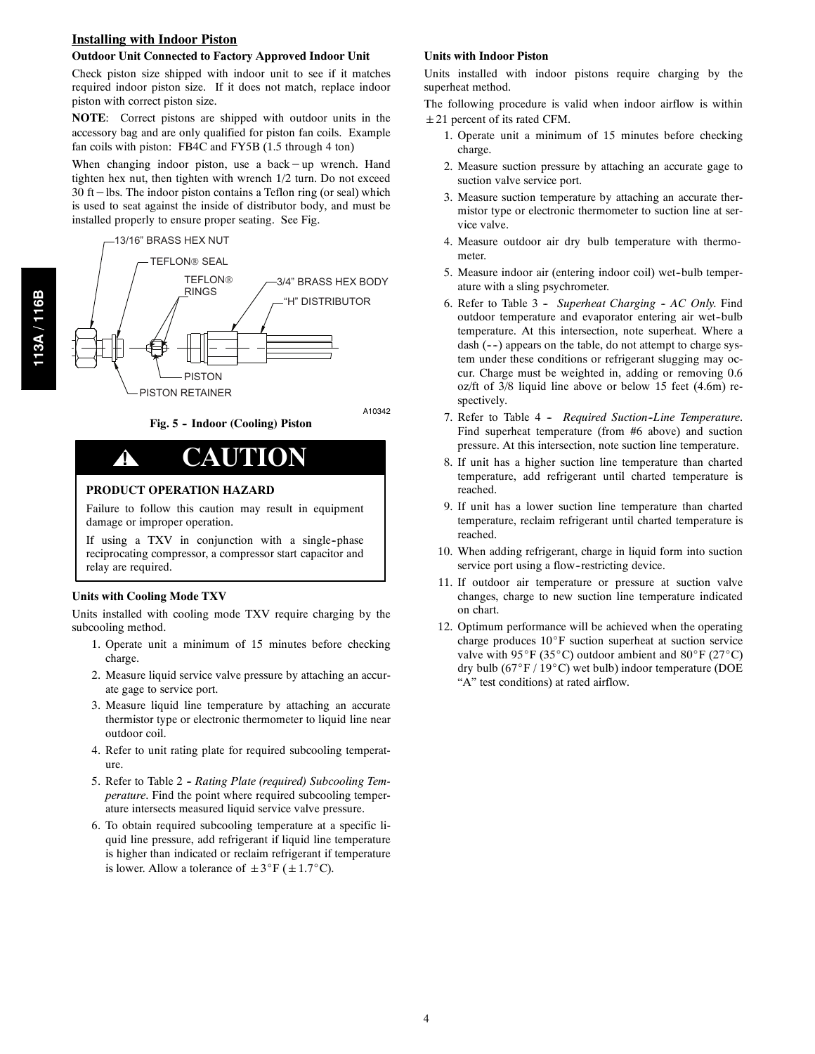### **Installing with Indoor Piston**

#### **Outdoor Unit Connected to Factory Approved Indoor Unit**

Check piston size shipped with indoor unit to see if it matches required indoor piston size. If it does not match, replace indoor piston with correct piston size.

**NOTE**: Correct pistons are shipped with outdoor units in the accessory bag and are only qualified for piston fan coils. Example fan coils with piston: FB4C and FY5B (1.5 through 4 ton)

When changing indoor piston, use a back−up wrench. Hand tighten hex nut, then tighten with wrench 1/2 turn. Do not exceed 30 ft−lbs. The indoor piston contains a Teflon ring (or seal) which is used to seat against the inside of distributor body, and must be installed properly to ensure proper seating. See Fig.

13/16" BRASS HEX NUT TEFLON® SEAL **TEFLON®** RINGS 3/4" BRASS HEX BODY "H" DISTRIBUTOR PISTON RETAINER PISTON



# **! CAUTION**

#### **PRODUCT OPERATION HAZARD**

Failure to follow this caution may result in equipment damage or improper operation.

**Fig. 5 -- Indoor (Cooling) Piston**

If using a TXV in conjunction with a single-phase reciprocating compressor, a compressor start capacitor and relay are required.

#### **Units with Cooling Mode TXV**

Units installed with cooling mode TXV require charging by the subcooling method.

- 1. Operate unit a minimum of 15 minutes before checking charge.
- 2. Measure liquid service valve pressure by attaching an accurate gage to service port.
- 3. Measure liquid line temperature by attaching an accurate thermistor type or electronic thermometer to liquid line near outdoor coil.
- 4. Refer to unit rating plate for required subcooling temperature.
- 5. Refer to Table 2 *Rating Plate (required) Subcooling Temperature*. Find the point where required subcooling temperature intersects measured liquid service valve pressure.
- 6. To obtain required subcooling temperature at a specific liquid line pressure, add refrigerant if liquid line temperature is higher than indicated or reclaim refrigerant if temperature is lower. Allow a tolerance of  $\pm 3^\circ F$  ( $\pm 1.7^\circ C$ ).

#### **Units with Indoor Piston**

Units installed with indoor pistons require charging by the superheat method.

The following procedure is valid when indoor airflow is within  $\pm$  21 percent of its rated CFM.

- 1. Operate unit a minimum of 15 minutes before checking charge.
- 2. Measure suction pressure by attaching an accurate gage to suction valve service port.
- 3. Measure suction temperature by attaching an accurate thermistor type or electronic thermometer to suction line at service valve.
- 4. Measure outdoor air dry bulb temperature with thermometer.
- 5. Measure indoor air (entering indoor coil) wet-bulb temperature with a sling psychrometer.
- 6. Refer to Table 3 Superheat Charging AC Only. Find outdoor temperature and evaporator entering air wet-bulb temperature. At this intersection, note superheat. Where a dash  $(--)$  appears on the table, do not attempt to charge system under these conditions or refrigerant slugging may occur. Charge must be weighted in, adding or removing 0.6 oz/ft of 3/8 liquid line above or below 15 feet (4.6m) respectively.
- 7. Refer to Table 4 *Required Suction-Line Temperature*. Find superheat temperature (from #6 above) and suction pressure. At this intersection, note suction line temperature.
- 8. If unit has a higher suction line temperature than charted temperature, add refrigerant until charted temperature is reached.
- 9. If unit has a lower suction line temperature than charted temperature, reclaim refrigerant until charted temperature is reached.
- 10. When adding refrigerant, charge in liquid form into suction service port using a flow-restricting device.
- 11. If outdoor air temperature or pressure at suction valve changes, charge to new suction line temperature indicated on chart.
- 12. Optimum performance will be achieved when the operating charge produces 10°F suction superheat at suction service valve with 95°F (35°C) outdoor ambient and 80°F (27°C) dry bulb (67°F / 19°C) wet bulb) indoor temperature (DOE "A" test conditions) at rated airflow.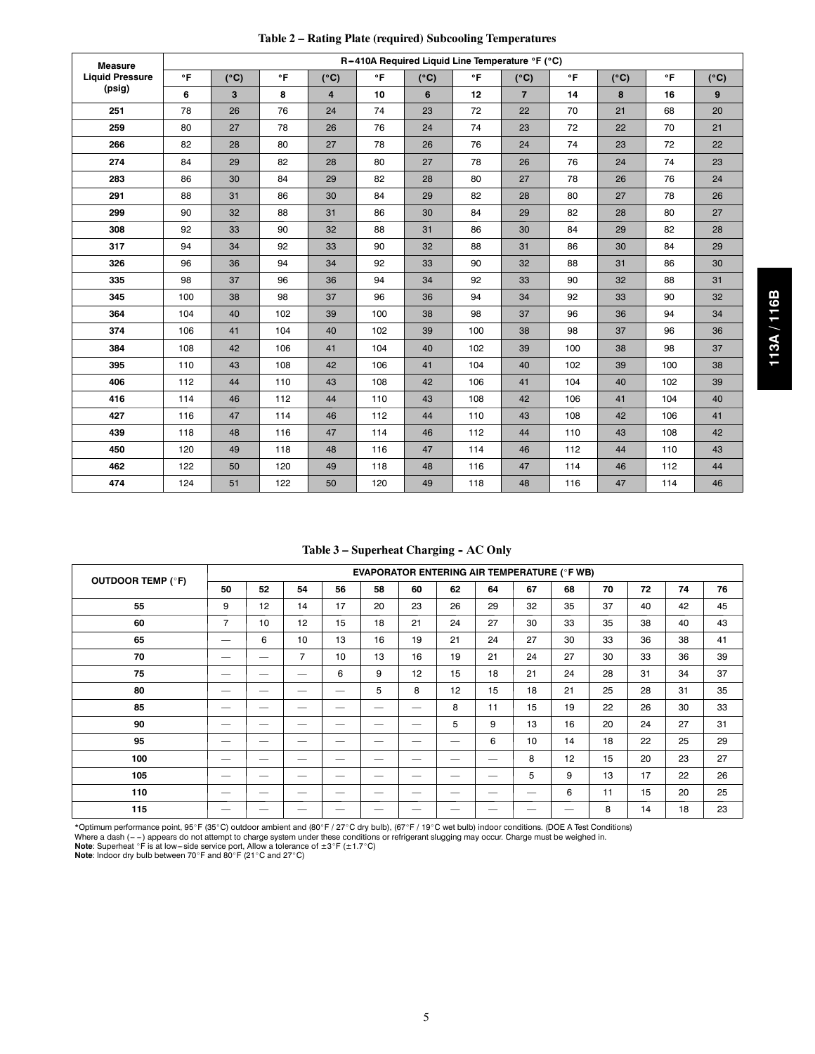| Table 2 - Rating Plate (required) Subcooling Temperatures |  |  |  |  |  |  |
|-----------------------------------------------------------|--|--|--|--|--|--|
|-----------------------------------------------------------|--|--|--|--|--|--|

| <b>Measure</b>         |     |               |           |                |              | R-410A Required Liquid Line Temperature °F (°C) |     |                |     |               |     |               |
|------------------------|-----|---------------|-----------|----------------|--------------|-------------------------------------------------|-----|----------------|-----|---------------|-----|---------------|
| <b>Liquid Pressure</b> | °F  | $(^{\circ}C)$ | $\circ$ F | $(^{\circ}C)$  | $\mathbf{P}$ | $(^{\circ}C)$                                   | °F  | $(^{\circ}C)$  | °F  | $(^{\circ}C)$ | °F  | $(^{\circ}C)$ |
| (psig)                 | 6   | 3             | 8         | $\overline{4}$ | 10           | 6                                               | 12  | $\overline{7}$ | 14  | 8             | 16  | 9             |
| 251                    | 78  | 26            | 76        | 24             | 74           | 23                                              | 72  | 22             | 70  | 21            | 68  | 20            |
| 259                    | 80  | 27            | 78        | 26             | 76           | 24                                              | 74  | 23             | 72  | 22            | 70  | 21            |
| 266                    | 82  | 28            | 80        | 27             | 78           | 26                                              | 76  | 24             | 74  | 23            | 72  | 22            |
| 274                    | 84  | 29            | 82        | 28             | 80           | 27                                              | 78  | 26             | 76  | 24            | 74  | 23            |
| 283                    | 86  | 30            | 84        | 29             | 82           | 28                                              | 80  | 27             | 78  | 26            | 76  | 24            |
| 291                    | 88  | 31            | 86        | 30             | 84           | 29                                              | 82  | 28             | 80  | 27            | 78  | 26            |
| 299                    | 90  | 32            | 88        | 31             | 86           | 30                                              | 84  | 29             | 82  | 28            | 80  | 27            |
| 308                    | 92  | 33            | 90        | 32             | 88           | 31                                              | 86  | 30             | 84  | 29            | 82  | 28            |
| 317                    | 94  | 34            | 92        | 33             | 90           | 32                                              | 88  | 31             | 86  | 30            | 84  | 29            |
| 326                    | 96  | 36            | 94        | 34             | 92           | 33                                              | 90  | 32             | 88  | 31            | 86  | 30            |
| 335                    | 98  | 37            | 96        | 36             | 94           | 34                                              | 92  | 33             | 90  | 32            | 88  | 31            |
| 345                    | 100 | 38            | 98        | 37             | 96           | 36                                              | 94  | 34             | 92  | 33            | 90  | 32            |
| 364                    | 104 | 40            | 102       | 39             | 100          | 38                                              | 98  | 37             | 96  | 36            | 94  | 34            |
| 374                    | 106 | 41            | 104       | 40             | 102          | 39                                              | 100 | 38             | 98  | 37            | 96  | 36            |
| 384                    | 108 | 42            | 106       | 41             | 104          | 40                                              | 102 | 39             | 100 | 38            | 98  | 37            |
| 395                    | 110 | 43            | 108       | 42             | 106          | 41                                              | 104 | 40             | 102 | 39            | 100 | 38            |
| 406                    | 112 | 44            | 110       | 43             | 108          | 42                                              | 106 | 41             | 104 | 40            | 102 | 39            |
| 416                    | 114 | 46            | 112       | 44             | 110          | 43                                              | 108 | 42             | 106 | 41            | 104 | 40            |
| 427                    | 116 | 47            | 114       | 46             | 112          | 44                                              | 110 | 43             | 108 | 42            | 106 | 41            |
| 439                    | 118 | 48            | 116       | 47             | 114          | 46                                              | 112 | 44             | 110 | 43            | 108 | 42            |
| 450                    | 120 | 49            | 118       | 48             | 116          | 47                                              | 114 | 46             | 112 | 44            | 110 | 43            |
| 462                    | 122 | 50            | 120       | 49             | 118          | 48                                              | 116 | 47             | 114 | 46            | 112 | 44            |
| 474                    | 124 | 51            | 122       | 50             | 120          | 49                                              | 118 | 48             | 116 | 47            | 114 | 46            |

Table 3 – Superheat Charging - AC Only

|                          |                | <b>EVAPORATOR ENTERING AIR TEMPERATURE (°F WB)</b> |                   |                   |    |    |                               |                          |    |    |    |    |    |    |
|--------------------------|----------------|----------------------------------------------------|-------------------|-------------------|----|----|-------------------------------|--------------------------|----|----|----|----|----|----|
| <b>OUTDOOR TEMP (°F)</b> | 50             | 52                                                 | 54                | 56                | 58 | 60 | 62                            | 64                       | 67 | 68 | 70 | 72 | 74 | 76 |
| 55                       | 9              | 12                                                 | 14                | 17                | 20 | 23 | 26                            | 29                       | 32 | 35 | 37 | 40 | 42 | 45 |
| 60                       | $\overline{7}$ | 10                                                 | 12                | 15                | 18 | 21 | 24                            | 27                       | 30 | 33 | 35 | 38 | 40 | 43 |
| 65                       |                | 6                                                  | 10                | 13                | 16 | 19 | 21                            | 24                       | 27 | 30 | 33 | 36 | 38 | 41 |
| 70                       |                |                                                    | $\overline{7}$    | 10                | 13 | 16 | 19                            | 21                       | 24 | 27 | 30 | 33 | 36 | 39 |
| 75                       |                |                                                    | $\hspace{0.05cm}$ | 6                 | 9  | 12 | 15                            | 18                       | 21 | 24 | 28 | 31 | 34 | 37 |
| 80                       |                |                                                    |                   |                   | 5  | 8  | 12                            | 15                       | 18 | 21 | 25 | 28 | 31 | 35 |
| 85                       |                |                                                    | $\hspace{0.05cm}$ |                   |    |    | 8                             | 11                       | 15 | 19 | 22 | 26 | 30 | 33 |
| 90                       |                | $\overbrace{\phantom{12332}}$                      | $\hspace{0.05cm}$ | $\hspace{0.05cm}$ |    |    | 5                             | 9                        | 13 | 16 | 20 | 24 | 27 | 31 |
| 95                       |                |                                                    | $\hspace{0.05cm}$ |                   | __ |    | $\overbrace{\phantom{13333}}$ | 6                        | 10 | 14 | 18 | 22 | 25 | 29 |
| 100                      |                |                                                    | $\hspace{0.05cm}$ |                   |    |    |                               |                          | 8  | 12 | 15 | 20 | 23 | 27 |
| 105                      | _              |                                                    |                   |                   |    |    |                               |                          | 5  | 9  | 13 | 17 | 22 | 26 |
| 110                      |                |                                                    |                   |                   | _  | __ | --                            | $\overline{\phantom{a}}$ |    | 6  | 11 | 15 | 20 | 25 |
| 115                      |                |                                                    |                   |                   |    |    |                               |                          |    |    | 8  | 14 | 18 | 23 |

\*Optimum performance point, 95°F (35°C) outdoor ambient and (80°F / 27°C dry bulb), (67°F / 19°C wet bulb) indoor conditions. (DOE A Test Conditions)<br>Where a dash ( – –) appears do not attempt to charge system under these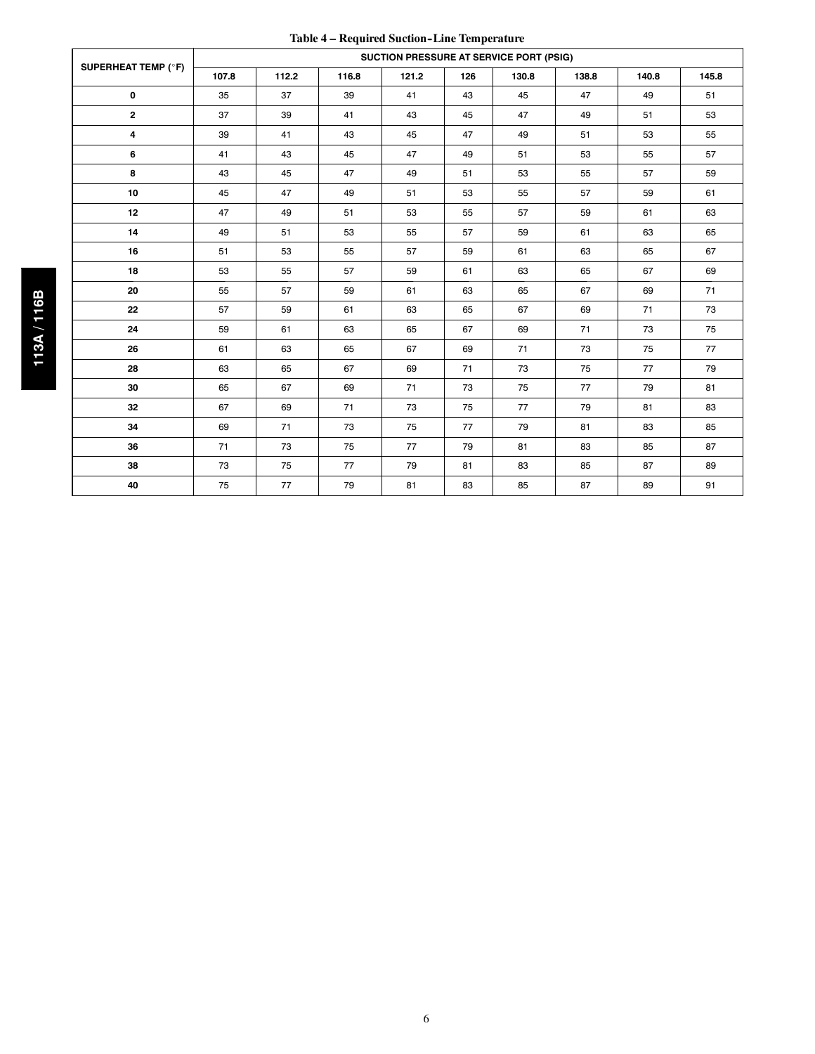| Table 4 – Required Suction-Line Temperature |  |  |
|---------------------------------------------|--|--|
|---------------------------------------------|--|--|

|                            | SUCTION PRESSURE AT SERVICE PORT (PSIG) |       |       |       |     |       |       |       |       |
|----------------------------|-----------------------------------------|-------|-------|-------|-----|-------|-------|-------|-------|
| <b>SUPERHEAT TEMP (°F)</b> | 107.8                                   | 112.2 | 116.8 | 121.2 | 126 | 130.8 | 138.8 | 140.8 | 145.8 |
| $\mathbf 0$                | 35                                      | 37    | 39    | 41    | 43  | 45    | 47    | 49    | 51    |
| $\mathbf{2}$               | 37                                      | 39    | 41    | 43    | 45  | 47    | 49    | 51    | 53    |
| 4                          | 39                                      | 41    | 43    | 45    | 47  | 49    | 51    | 53    | 55    |
| 6                          | 41                                      | 43    | 45    | 47    | 49  | 51    | 53    | 55    | 57    |
| 8                          | 43                                      | 45    | 47    | 49    | 51  | 53    | 55    | 57    | 59    |
| 10                         | 45                                      | 47    | 49    | 51    | 53  | 55    | 57    | 59    | 61    |
| 12                         | 47                                      | 49    | 51    | 53    | 55  | 57    | 59    | 61    | 63    |
| 14                         | 49                                      | 51    | 53    | 55    | 57  | 59    | 61    | 63    | 65    |
| 16                         | 51                                      | 53    | 55    | 57    | 59  | 61    | 63    | 65    | 67    |
| 18                         | 53                                      | 55    | 57    | 59    | 61  | 63    | 65    | 67    | 69    |
| 20                         | 55                                      | 57    | 59    | 61    | 63  | 65    | 67    | 69    | 71    |
| 22                         | 57                                      | 59    | 61    | 63    | 65  | 67    | 69    | 71    | 73    |
| 24                         | 59                                      | 61    | 63    | 65    | 67  | 69    | 71    | 73    | 75    |
| 26                         | 61                                      | 63    | 65    | 67    | 69  | 71    | 73    | 75    | 77    |
| 28                         | 63                                      | 65    | 67    | 69    | 71  | 73    | 75    | 77    | 79    |
| 30                         | 65                                      | 67    | 69    | 71    | 73  | 75    | 77    | 79    | 81    |
| 32                         | 67                                      | 69    | 71    | 73    | 75  | 77    | 79    | 81    | 83    |
| 34                         | 69                                      | 71    | 73    | 75    | 77  | 79    | 81    | 83    | 85    |
| 36                         | 71                                      | 73    | 75    | 77    | 79  | 81    | 83    | 85    | 87    |
| 38                         | 73                                      | 75    | 77    | 79    | 81  | 83    | 85    | 87    | 89    |
| 40                         | 75                                      | 77    | 79    | 81    | 83  | 85    | 87    | 89    | 91    |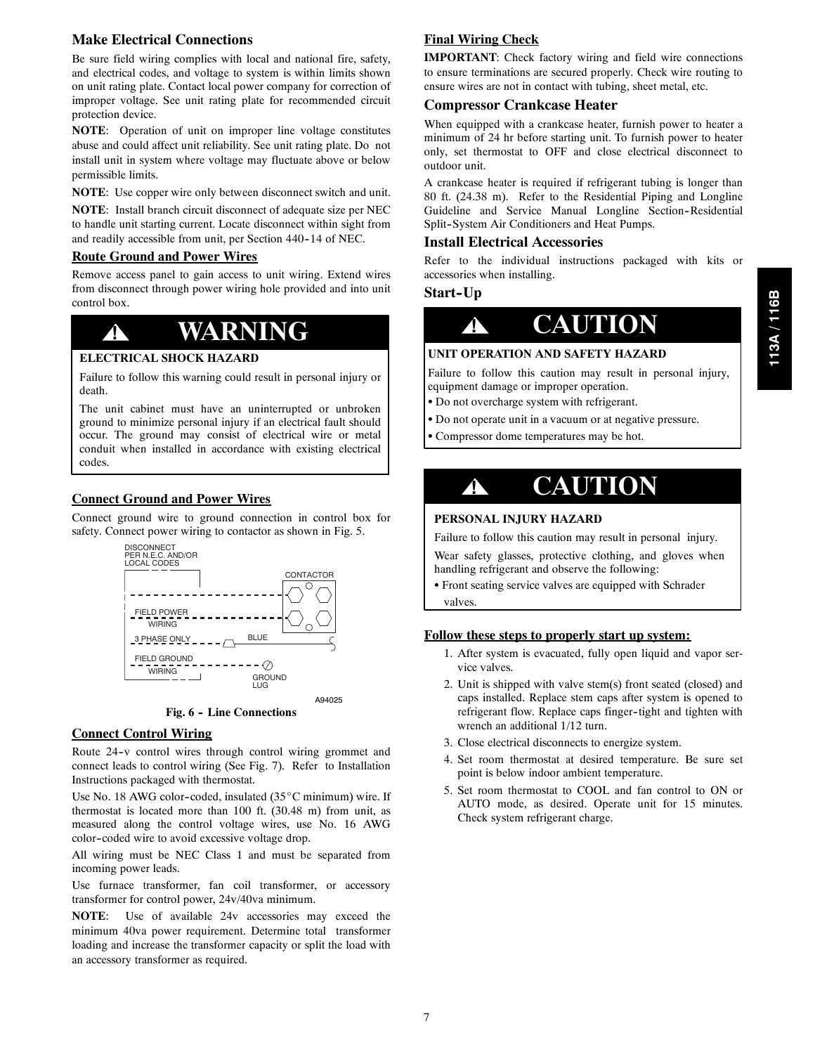# **Make Electrical Connections**

Be sure field wiring complies with local and national fire, safety, and electrical codes, and voltage to system is within limits shown on unit rating plate. Contact local power company for correction of improper voltage. See unit rating plate for recommended circuit protection device.

**NOTE**: Operation of unit on improper line voltage constitutes abuse and could affect unit reliability. See unit rating plate. Do not install unit in system where voltage may fluctuate above or below permissible limits.

**NOTE**: Use copper wire only between disconnect switch and unit.

**NOTE**: Install branch circuit disconnect of adequate size per NEC to handle unit starting current. Locate disconnect within sight from and readily accessible from unit, per Section 440-14 of NEC.

#### **Route Ground and Power Wires**

Remove access panel to gain access to unit wiring. Extend wires from disconnect through power wiring hole provided and into unit control box.

# **! WARNING**

### **ELECTRICAL SHOCK HAZARD**

Failure to follow this warning could result in personal injury or death.

The unit cabinet must have an uninterrupted or unbroken ground to minimize personal injury if an electrical fault should occur. The ground may consist of electrical wire or metal conduit when installed in accordance with existing electrical codes.

#### **Connect Ground and Power Wires**

Connect ground wire to ground connection in control box for safety. Connect power wiring to contactor as shown in Fig. 5.



Fig. 6 - Line Connections

#### **Connect Control Wiring**

Route 24-v control wires through control wiring grommet and connect leads to control wiring (See Fig. 7). Refer to Installation Instructions packaged with thermostat.

Use No. 18 AWG color-coded, insulated  $(35^{\circ}C$  minimum) wire. If thermostat is located more than 100 ft. (30.48 m) from unit, as measured along the control voltage wires, use No. 16 AWG color--coded wire to avoid excessive voltage drop.

All wiring must be NEC Class 1 and must be separated from incoming power leads.

Use furnace transformer, fan coil transformer, or accessory transformer for control power, 24v/40va minimum.

**NOTE**: Use of available 24v accessories may exceed the minimum 40va power requirement. Determine total transformer loading and increase the transformer capacity or split the load with an accessory transformer as required.

# **Final Wiring Check**

**IMPORTANT**: Check factory wiring and field wire connections to ensure terminations are secured properly. Check wire routing to ensure wires are not in contact with tubing, sheet metal, etc.

#### **Compressor Crankcase Heater**

When equipped with a crankcase heater, furnish power to heater a minimum of 24 hr before starting unit. To furnish power to heater only, set thermostat to OFF and close electrical disconnect to outdoor unit.

A crankcase heater is required if refrigerant tubing is longer than 80 ft. (24.38 m). Refer to the Residential Piping and Longline Guideline and Service Manual Longline Section-Residential Split-System Air Conditioners and Heat Pumps.

# **Install Electrical Accessories**

Refer to the individual instructions packaged with kits or accessories when installing.

# **Start-Up**



#### **UNIT OPERATION AND SAFETY HAZARD**

Failure to follow this caution may result in personal injury, equipment damage or improper operation.

- Do not overcharge system with refrigerant.
- Do not operate unit in a vacuum or at negative pressure.
- Compressor dome temperatures may be hot.



# **PERSONAL INJURY HAZARD**

Failure to follow this caution may result in personal injury.

Wear safety glasses, protective clothing, and gloves when handling refrigerant and observe the following:

• Front seating service valves are equipped with Schrader valves.

#### **Follow these steps to properly start up system:**

- 1. After system is evacuated, fully open liquid and vapor service valves.
- 2. Unit is shipped with valve stem(s) front seated (closed) and caps installed. Replace stem caps after system is opened to refrigerant flow. Replace caps finger-tight and tighten with wrench an additional 1/12 turn.
- 3. Close electrical disconnects to energize system.
- 4. Set room thermostat at desired temperature. Be sure set point is below indoor ambient temperature.
- 5. Set room thermostat to COOL and fan control to ON or AUTO mode, as desired. Operate unit for 15 minutes. Check system refrigerant charge.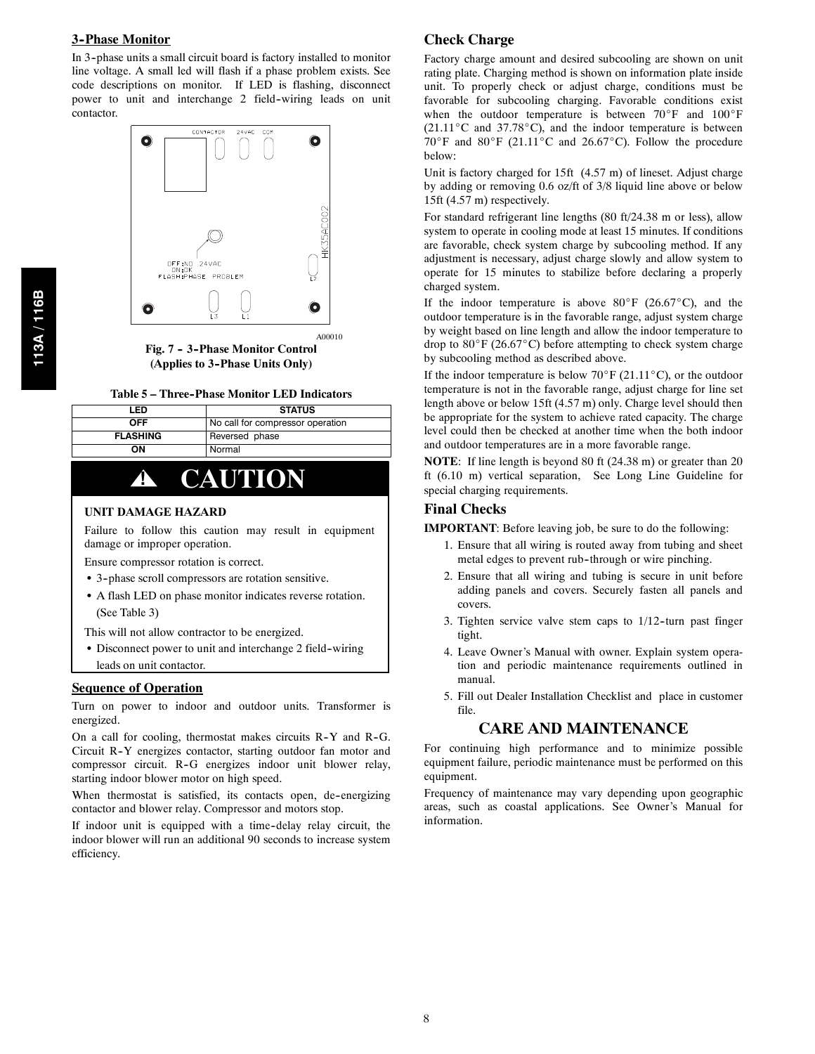### **3--Phase Monitor**

In 3--phase units a small circuit board is factory installed to monitor line voltage. A small led will flash if a phase problem exists. See code descriptions on monitor. If LED is flashing, disconnect power to unit and interchange 2 field-wiring leads on unit contactor.



**Fig. 7 -- 3--Phase Monitor Control (Applies to 3--Phase Units Only)**

| Table 5 – Three-Phase Monitor LED Indicators |  |  |  |  |
|----------------------------------------------|--|--|--|--|
|----------------------------------------------|--|--|--|--|

| LED             | <b>STATUS</b>                    |
|-----------------|----------------------------------|
| OFF             | No call for compressor operation |
| <b>FLASHING</b> | Reversed phase                   |
| OΝ              | Normal                           |

# **! CAUTION**

#### **UNIT DAMAGE HAZARD**

Failure to follow this caution may result in equipment damage or improper operation.

Ensure compressor rotation is correct.

- 3-phase scroll compressors are rotation sensitive.
- A flash LED on phase monitor indicates reverse rotation. (See Table 3)

This will not allow contractor to be energized.

• Disconnect power to unit and interchange 2 field-wiring

leads on unit contactor.

#### **Sequence of Operation**

Turn on power to indoor and outdoor units. Transformer is energized.

On a call for cooling, thermostat makes circuits R-Y and R-G. Circuit R-Y energizes contactor, starting outdoor fan motor and compressor circuit. R-G energizes indoor unit blower relay, starting indoor blower motor on high speed.

When thermostat is satisfied, its contacts open, de-energizing contactor and blower relay. Compressor and motors stop.

If indoor unit is equipped with a time-delay relay circuit, the indoor blower will run an additional 90 seconds to increase system efficiency.

### **Check Charge**

Factory charge amount and desired subcooling are shown on unit rating plate. Charging method is shown on information plate inside unit. To properly check or adjust charge, conditions must be favorable for subcooling charging. Favorable conditions exist when the outdoor temperature is between  $70^\circ$ F and  $100^\circ$ F  $(21.11^{\circ}$ C and 37.78 $^{\circ}$ C), and the indoor temperature is between  $70^\circ$ F and  $80^\circ$ F (21.11<sup>o</sup>C and 26.67<sup>o</sup>C). Follow the procedure below:

Unit is factory charged for 15ft (4.57 m) of lineset. Adjust charge by adding or removing 0.6 oz/ft of 3/8 liquid line above or below 15ft (4.57 m) respectively.

For standard refrigerant line lengths (80 ft/24.38 m or less), allow system to operate in cooling mode at least 15 minutes. If conditions are favorable, check system charge by subcooling method. If any adjustment is necessary, adjust charge slowly and allow system to operate for 15 minutes to stabilize before declaring a properly charged system.

If the indoor temperature is above 80 $\degree$ F (26.67 $\degree$ C), and the outdoor temperature is in the favorable range, adjust system charge by weight based on line length and allow the indoor temperature to drop to  $80^\circ$ F (26.67 $^\circ$ C) before attempting to check system charge by subcooling method as described above.

If the indoor temperature is below  $70^\circ$ F (21.11<sup>o</sup>C), or the outdoor temperature is not in the favorable range, adjust charge for line set length above or below 15ft (4.57 m) only. Charge level should then be appropriate for the system to achieve rated capacity. The charge level could then be checked at another time when the both indoor and outdoor temperatures are in a more favorable range.

**NOTE**: If line length is beyond 80 ft (24.38 m) or greater than 20 ft (6.10 m) vertical separation, See Long Line Guideline for special charging requirements.

#### **Final Checks**

**IMPORTANT**: Before leaving job, be sure to do the following:

- 1. Ensure that all wiring is routed away from tubing and sheet metal edges to prevent rub-through or wire pinching.
- 2. Ensure that all wiring and tubing is secure in unit before adding panels and covers. Securely fasten all panels and covers.
- 3. Tighten service valve stem caps to  $1/12$ -turn past finger tight.
- 4. Leave Owner's Manual with owner. Explain system operation and periodic maintenance requirements outlined in manual.
- 5. Fill out Dealer Installation Checklist and place in customer file.

### **CARE AND MAINTENANCE**

For continuing high performance and to minimize possible equipment failure, periodic maintenance must be performed on this equipment.

Frequency of maintenance may vary depending upon geographic areas, such as coastal applications. See Owner's Manual for information.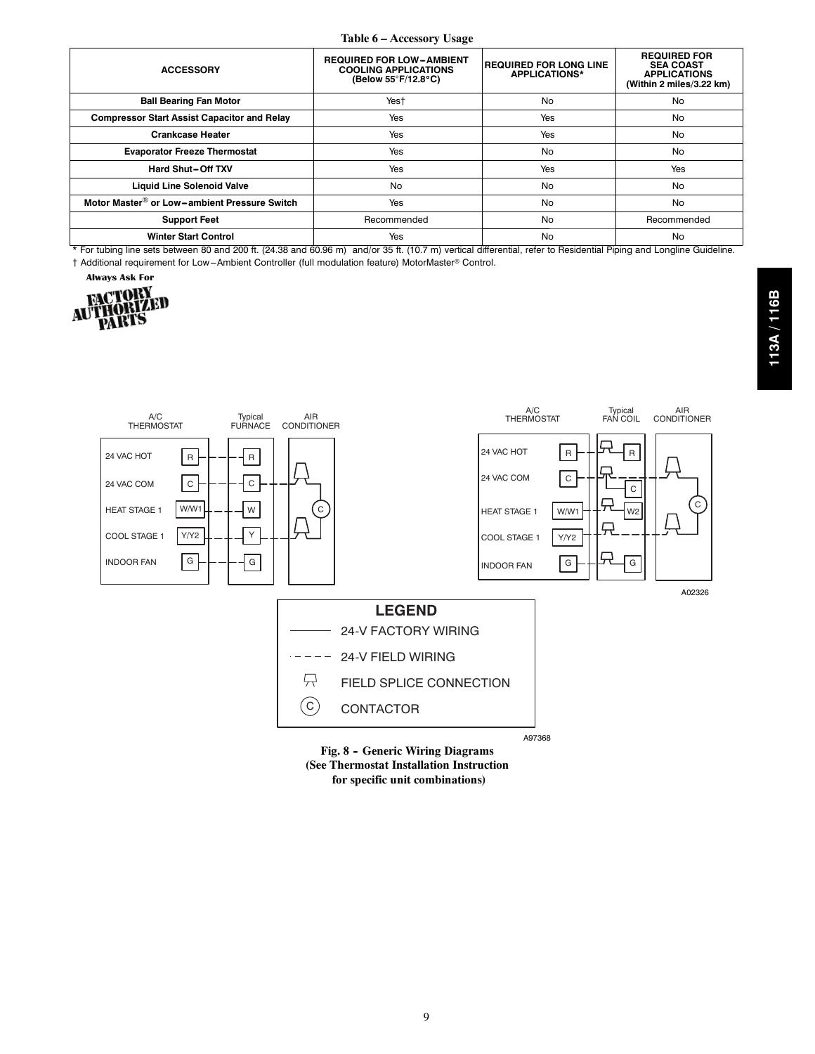#### **Table 6 – Accessory Usage**

| <b>ACCESSORY</b>                                         | <b>REQUIRED FOR LOW-AMBIENT</b><br><b>COOLING APPLICATIONS</b><br>(Below 55°F/12.8°C) | <b>REQUIRED FOR LONG LINE</b><br><b>APPLICATIONS*</b> | <b>REQUIRED FOR</b><br><b>SEA COAST</b><br><b>APPLICATIONS</b><br>(Within 2 miles/3.22 km) |
|----------------------------------------------------------|---------------------------------------------------------------------------------------|-------------------------------------------------------|--------------------------------------------------------------------------------------------|
| <b>Ball Bearing Fan Motor</b>                            | Yest                                                                                  | <b>No</b>                                             | No                                                                                         |
| <b>Compressor Start Assist Capacitor and Relay</b>       | Yes                                                                                   | Yes                                                   | No                                                                                         |
| <b>Crankcase Heater</b>                                  | Yes                                                                                   | Yes                                                   | No                                                                                         |
| <b>Evaporator Freeze Thermostat</b>                      | Yes                                                                                   | <b>No</b>                                             | No                                                                                         |
| Hard Shut-Off TXV                                        | Yes                                                                                   | Yes                                                   | Yes                                                                                        |
| <b>Liquid Line Solenoid Valve</b>                        | No                                                                                    | <b>No</b>                                             | No                                                                                         |
| Motor Master <sup>®</sup> or Low-ambient Pressure Switch | Yes                                                                                   | <b>No</b>                                             | No                                                                                         |
| <b>Support Feet</b>                                      | Recommended                                                                           | <b>No</b>                                             | Recommended                                                                                |
| <b>Winter Start Control</b>                              | Yes                                                                                   | No                                                    | No                                                                                         |

\* For tubing line sets between 80 and 200 ft. (24.38 and 60.96 m) and/or 35 ft. (10.7 m) vertical differential, refer to Residential Piping and Longline Guideline.  $\dagger$  Additional requirement for Low-Ambient Controller (full modulation feature) MotorMaster® Control.







**for specific unit combinations)**